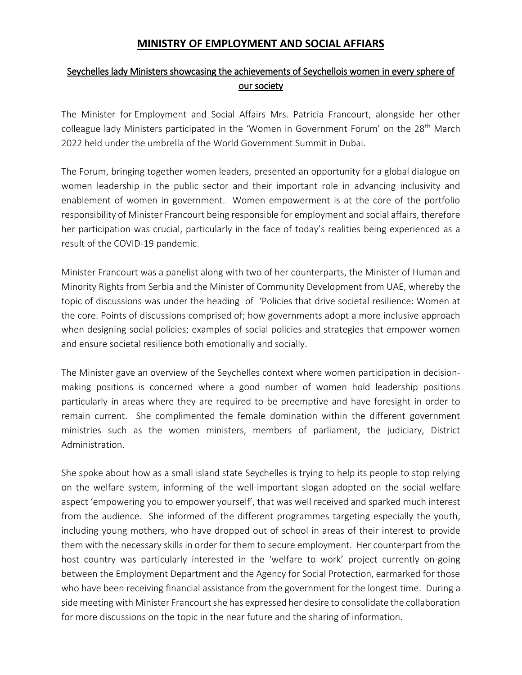## **MINISTRY OF EMPLOYMENT AND SOCIAL AFFIARS**

## Seychelles lady Ministers showcasing the achievements of Seychellois women in every sphere of our society

The Minister for Employment and Social Affairs Mrs. Patricia Francourt, alongside her other colleague lady Ministers participated in the 'Women in Government Forum' on the  $28<sup>th</sup>$  March 2022 held under the umbrella of the World Government Summit in Dubai.

The Forum, bringing together women leaders, presented an opportunity for a global dialogue on women leadership in the public sector and their important role in advancing inclusivity and enablement of women in government. Women empowerment is at the core of the portfolio responsibility of Minister Francourt being responsible for employment and social affairs, therefore her participation was crucial, particularly in the face of today's realities being experienced as a result of the COVID-19 pandemic.

Minister Francourt was a panelist along with two of her counterparts, the Minister of Human and Minority Rights from Serbia and the Minister of Community Development from UAE, whereby the topic of discussions was under the heading of 'Policies that drive societal resilience: Women at the core. Points of discussions comprised of; how governments adopt a more inclusive approach when designing social policies; examples of social policies and strategies that empower women and ensure societal resilience both emotionally and socially.

The Minister gave an overview of the Seychelles context where women participation in decisionmaking positions is concerned where a good number of women hold leadership positions particularly in areas where they are required to be preemptive and have foresight in order to remain current. She complimented the female domination within the different government ministries such as the women ministers, members of parliament, the judiciary, District Administration.

She spoke about how as a small island state Seychelles is trying to help its people to stop relying on the welfare system, informing of the well-important slogan adopted on the social welfare aspect 'empowering you to empower yourself', that was well received and sparked much interest from the audience. She informed of the different programmes targeting especially the youth, including young mothers, who have dropped out of school in areas of their interest to provide them with the necessary skills in order for them to secure employment. Her counterpart from the host country was particularly interested in the 'welfare to work' project currently on-going between the Employment Department and the Agency for Social Protection, earmarked for those who have been receiving financial assistance from the government for the longest time. During a side meeting with Minister Francourt she has expressed her desire to consolidate the collaboration for more discussions on the topic in the near future and the sharing of information.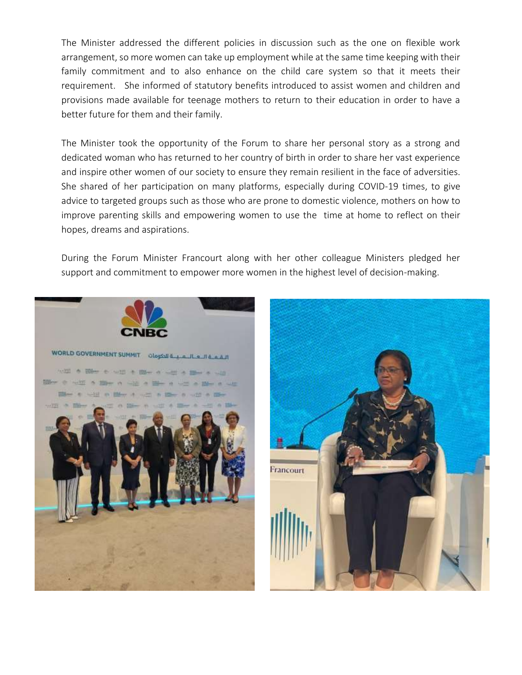The Minister addressed the different policies in discussion such as the one on flexible work arrangement, so more women can take up employment while at the same time keeping with their family commitment and to also enhance on the child care system so that it meets their requirement. She informed of statutory benefits introduced to assist women and children and provisions made available for teenage mothers to return to their education in order to have a better future for them and their family.

The Minister took the opportunity of the Forum to share her personal story as a strong and dedicated woman who has returned to her country of birth in order to share her vast experience and inspire other women of our society to ensure they remain resilient in the face of adversities. She shared of her participation on many platforms, especially during COVID-19 times, to give advice to targeted groups such as those who are prone to domestic violence, mothers on how to improve parenting skills and empowering women to use the time at home to reflect on their hopes, dreams and aspirations.

During the Forum Minister Francourt along with her other colleague Ministers pledged her support and commitment to empower more women in the highest level of decision-making.